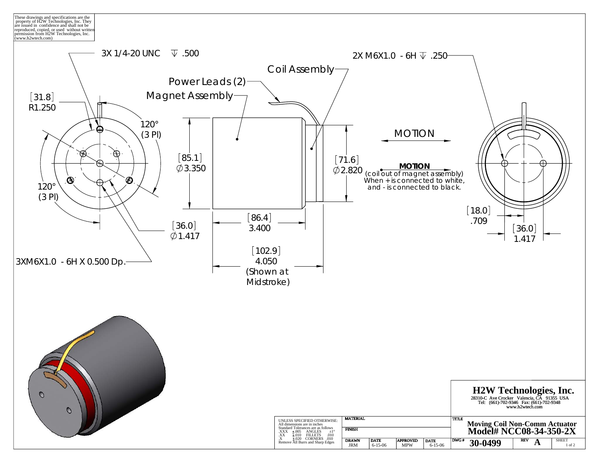